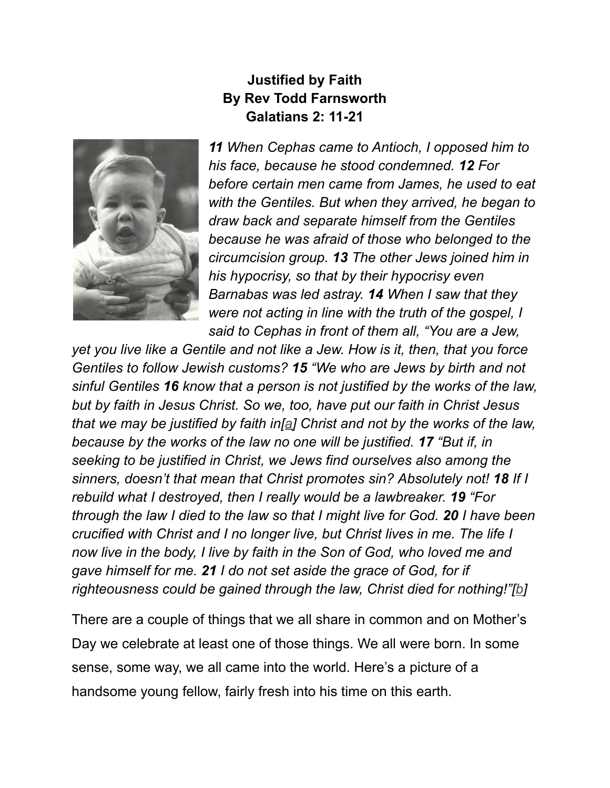## **Justified by Faith By Rev Todd Farnsworth Galatians 2: 11-21**



*11 When Cephas came to Antioch, I opposed him to his face, because he stood condemned. 12 For before certain men came from James, he used to eat with the Gentiles. But when they arrived, he began to draw back and separate himself from the Gentiles because he was afraid of those who belonged to the circumcision group. 13 The other Jews joined him in his hypocrisy, so that by their hypocrisy even Barnabas was led astray. 14 When I saw that they were not acting in line with the truth of the gospel, I said to Cephas in front of them all, "You are a Jew,*

*yet you live like a Gentile and not like a Jew. How is it, then, that you force Gentiles to follow Jewish customs? 15 "We who are Jews by birth and not sinful Gentiles 16 know that a person is not justified by the works of the law, but by faith in Jesus Christ. So we, too, have put our faith in Christ Jesus that we may be justified by faith in[[a\]](https://www.biblegateway.com/passage/?search=Galatians+2%3A+11-21&version=NIV#fen-NIV-29098a) Christ and not by the works of the law, because by the works of the law no one will be justified. 17 "But if, in seeking to be justified in Christ, we Jews find ourselves also among the sinners, doesn't that mean that Christ promotes sin? Absolutely not! 18 If I rebuild what I destroyed, then I really would be a lawbreaker. 19 "For through the law I died to the law so that I might live for God. 20 I have been crucified with Christ and I no longer live, but Christ lives in me. The life I now live in the body, I live by faith in the Son of God, who loved me and gave himself for me. 21 I do not set aside the grace of God, for if righteousness could be gained through the law, Christ died for nothing!"[[b](https://www.biblegateway.com/passage/?search=Galatians+2%3A+11-21&version=NIV#fen-NIV-29103b)]*

There are a couple of things that we all share in common and on Mother's Day we celebrate at least one of those things. We all were born. In some sense, some way, we all came into the world. Here's a picture of a handsome young fellow, fairly fresh into his time on this earth.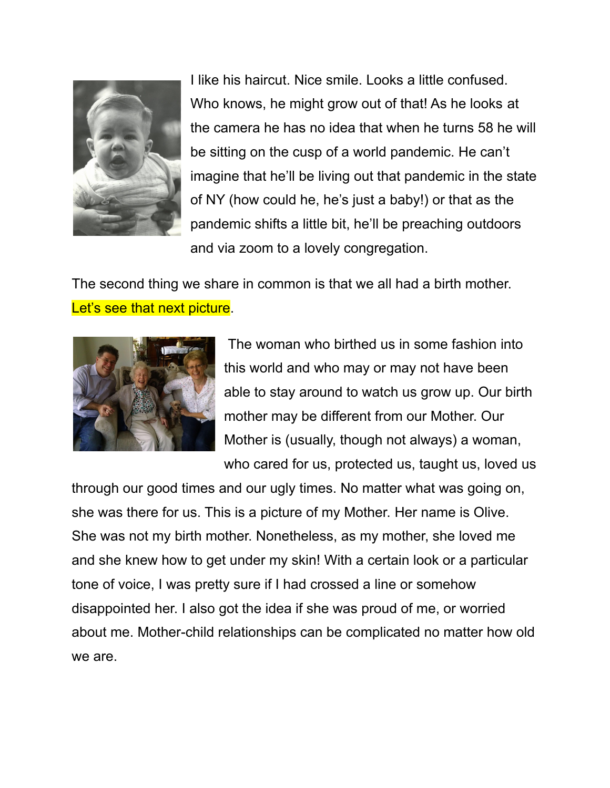

I like his haircut. Nice smile. Looks a little confused. Who knows, he might grow out of that! As he looks at the camera he has no idea that when he turns 58 he will be sitting on the cusp of a world pandemic. He can't imagine that he'll be living out that pandemic in the state of NY (how could he, he's just a baby!) or that as the pandemic shifts a little bit, he'll be preaching outdoors and via zoom to a lovely congregation.

The second thing we share in common is that we all had a birth mother. Let's see that next picture.



The woman who birthed us in some fashion into this world and who may or may not have been able to stay around to watch us grow up. Our birth mother may be different from our Mother. Our Mother is (usually, though not always) a woman, who cared for us, protected us, taught us, loved us

through our good times and our ugly times. No matter what was going on, she was there for us. This is a picture of my Mother. Her name is Olive. She was not my birth mother. Nonetheless, as my mother, she loved me and she knew how to get under my skin! With a certain look or a particular tone of voice, I was pretty sure if I had crossed a line or somehow disappointed her. I also got the idea if she was proud of me, or worried about me. Mother-child relationships can be complicated no matter how old we are.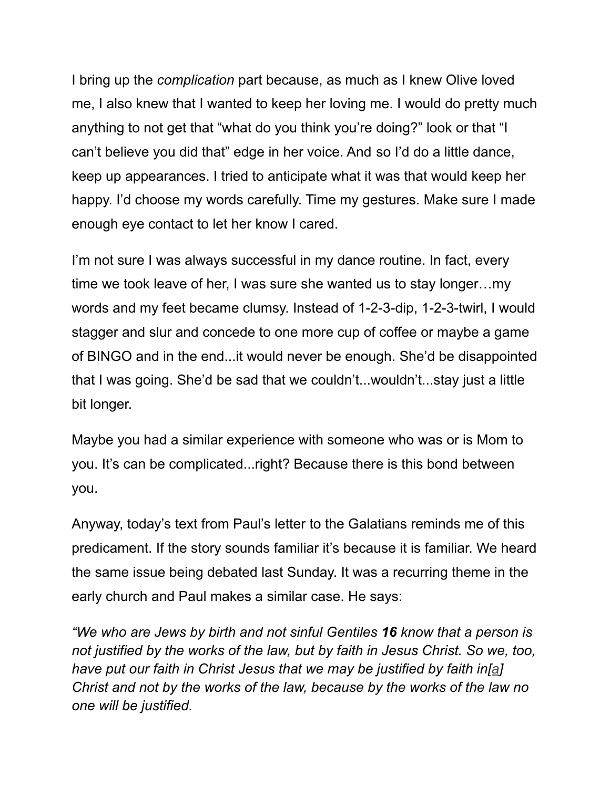I bring up the *complication* part because, as much as I knew Olive loved me, I also knew that I wanted to keep her loving me. I would do pretty much anything to not get that "what do you think you're doing?" look or that "I can't believe you did that" edge in her voice. And so I'd do a little dance, keep up appearances. I tried to anticipate what it was that would keep her happy. I'd choose my words carefully. Time my gestures. Make sure I made enough eye contact to let her know I cared.

I'm not sure I was always successful in my dance routine. In fact, every time we took leave of her, I was sure she wanted us to stay longer…my words and my feet became clumsy. Instead of 1-2-3-dip, 1-2-3-twirl, I would stagger and slur and concede to one more cup of coffee or maybe a game of BINGO and in the end...it would never be enough. She'd be disappointed that I was going. She'd be sad that we couldn't...wouldn't...stay just a little bit longer.

Maybe you had a similar experience with someone who was or is Mom to you. It's can be complicated...right? Because there is this bond between you.

Anyway, today's text from Paul's letter to the Galatians reminds me of this predicament. If the story sounds familiar it's because it is familiar. We heard the same issue being debated last Sunday. It was a recurring theme in the early church and Paul makes a similar case. He says:

*"We who are Jews by birth and not sinful Gentiles 16 know that a person is not justified by the works of the law, but by faith in Jesus Christ. So we, too, have put our faith in Christ Jesus that we may be justified by faith in[[a](https://www.biblegateway.com/passage/?search=Galatians+2%3A+11-21&version=NIV#fen-NIV-29098a)] Christ and not by the works of the law, because by the works of the law no one will be justified.*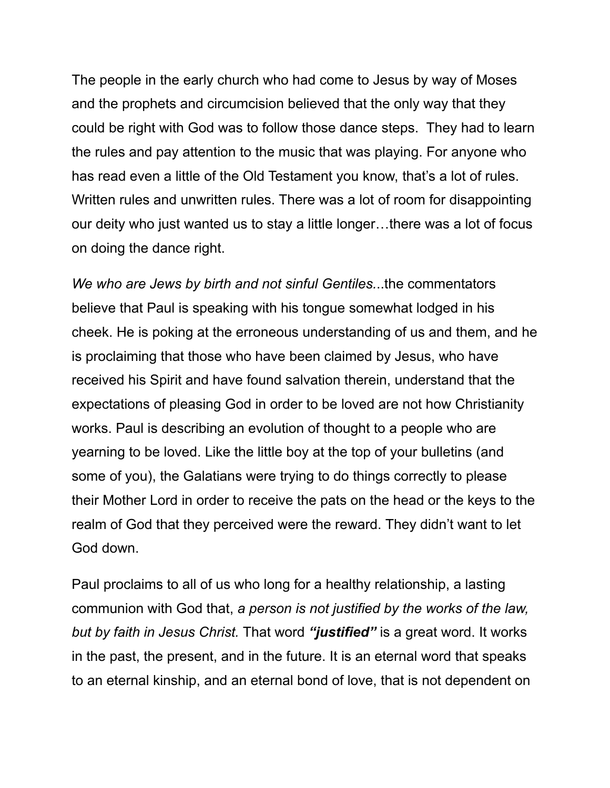The people in the early church who had come to Jesus by way of Moses and the prophets and circumcision believed that the only way that they could be right with God was to follow those dance steps. They had to learn the rules and pay attention to the music that was playing. For anyone who has read even a little of the Old Testament you know, that's a lot of rules. Written rules and unwritten rules. There was a lot of room for disappointing our deity who just wanted us to stay a little longer…there was a lot of focus on doing the dance right.

*We who are Jews by birth and not sinful Gentiles.*..the commentators believe that Paul is speaking with his tongue somewhat lodged in his cheek. He is poking at the erroneous understanding of us and them, and he is proclaiming that those who have been claimed by Jesus, who have received his Spirit and have found salvation therein, understand that the expectations of pleasing God in order to be loved are not how Christianity works. Paul is describing an evolution of thought to a people who are yearning to be loved. Like the little boy at the top of your bulletins (and some of you), the Galatians were trying to do things correctly to please their Mother Lord in order to receive the pats on the head or the keys to the realm of God that they perceived were the reward. They didn't want to let God down.

Paul proclaims to all of us who long for a healthy relationship, a lasting communion with God that, *a person is not justified by the works of the law, but by faith in Jesus Christ.* That word *"justified"* is a great word. It works in the past, the present, and in the future. It is an eternal word that speaks to an eternal kinship, and an eternal bond of love, that is not dependent on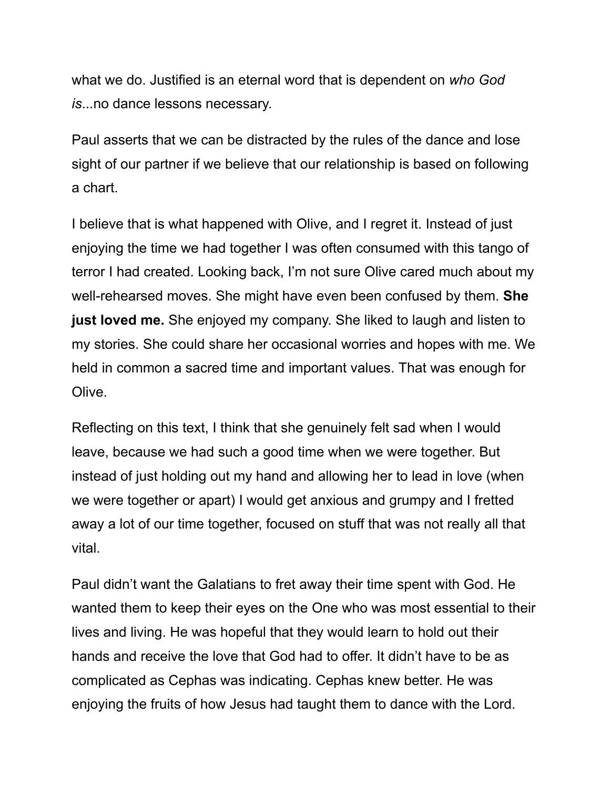what we do. Justified is an eternal word that is dependent on *who God is*...no dance lessons necessary.

Paul asserts that we can be distracted by the rules of the dance and lose sight of our partner if we believe that our relationship is based on following a chart.

I believe that is what happened with Olive, and I regret it. Instead of just enjoying the time we had together I was often consumed with this tango of terror I had created. Looking back, I'm not sure Olive cared much about my well-rehearsed moves. She might have even been confused by them. **She just loved me.** She enjoyed my company. She liked to laugh and listen to my stories. She could share her occasional worries and hopes with me. We held in common a sacred time and important values. That was enough for Olive.

Reflecting on this text, I think that she genuinely felt sad when I would leave, because we had such a good time when we were together. But instead of just holding out my hand and allowing her to lead in love (when we were together or apart) I would get anxious and grumpy and I fretted away a lot of our time together, focused on stuff that was not really all that vital.

Paul didn't want the Galatians to fret away their time spent with God. He wanted them to keep their eyes on the One who was most essential to their lives and living. He was hopeful that they would learn to hold out their hands and receive the love that God had to offer. It didn't have to be as complicated as Cephas was indicating. Cephas knew better. He was enjoying the fruits of how Jesus had taught them to dance with the Lord.